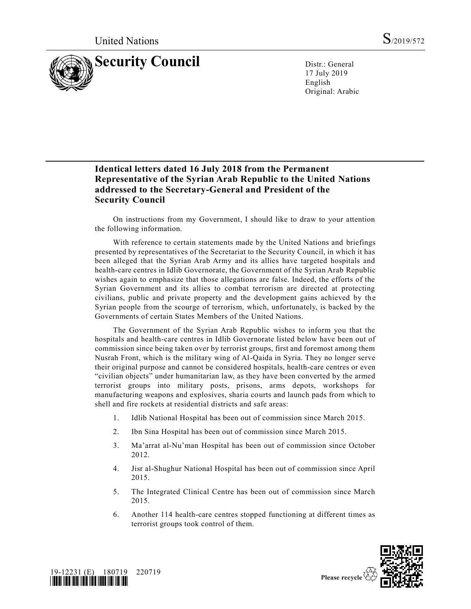

17 July 2019 English Original: Arabic

## **Identical letters dated 16 July 2018 from the Permanent Representative of the Syrian Arab Republic to the United Nations addressed to the Secretary-General and President of the Security Council**

On instructions from my Government, I should like to draw to your attention the following information.

With reference to certain statements made by the United Nations and briefings presented by representatives of the Secretariat to the Security Council, in which it has been alleged that the Syrian Arab Army and its allies have targeted hospitals and health-care centres in Idlib Governorate, the Government of the Syrian Arab Republic wishes again to emphasize that those allegations are false. Indeed, the efforts of the Syrian Government and its allies to combat terrorism are directed at protecting civilians, public and private property and the development gains achieved by the Syrian people from the scourge of terrorism, which, unfortunately, is backed by the Governments of certain States Members of the United Nations.

The Government of the Syrian Arab Republic wishes to inform you that the hospitals and health-care centres in Idlib Governorate listed below have been out of commission since being taken over by terrorist groups, first and foremost among them Nusrah Front, which is the military wing of Al-Qaida in Syria. They no longer serve their original purpose and cannot be considered hospitals, health-care centres or even "civilian objects" under humanitarian law, as they have been converted by the armed terrorist groups into military posts, prisons, arms depots, workshops for manufacturing weapons and explosives, sharia courts and launch pads from which to shell and fire rockets at residential districts and safe areas:

- 1. Idlib National Hospital has been out of commission since March 2015.
- 2. Ibn Sina Hospital has been out of commission since March 2015.
- 3. Ma'arrat al-Nu'man Hospital has been out of commission since October 2012.
- 4. Jisr al-Shughur National Hospital has been out of commission since April 2015.
- 5. The Integrated Clinical Centre has been out of commission since March 2015.
- 6. Another 114 health-care centres stopped functioning at different times as terrorist groups took control of them.